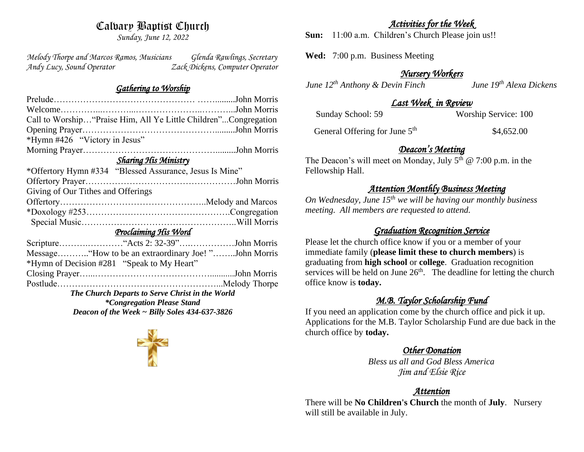# Calvary Baptist Church

*Sunday, June 12, 2022*

*Melody Thorpe and Marcos Ramos, Musicians Glenda Rawlings, Secretary Andy Lucy, Sound Operator Zack Dickens, Computer Operator* 

#### *Gathering to Worship*

| Call to Worship "Praise Him, All Ye Little Children"Congregation |  |  |  |  |
|------------------------------------------------------------------|--|--|--|--|
|                                                                  |  |  |  |  |
| *Hymn #426 "Victory in Jesus"                                    |  |  |  |  |
|                                                                  |  |  |  |  |
| <b>Sharing His Ministry</b>                                      |  |  |  |  |
| *Offertory Hymn #334 "Blessed Assurance, Jesus Is Mine"          |  |  |  |  |
|                                                                  |  |  |  |  |
| Giving of Our Tithes and Offerings                               |  |  |  |  |
|                                                                  |  |  |  |  |
|                                                                  |  |  |  |  |
|                                                                  |  |  |  |  |
| <u>Proclaiming His Word</u>                                      |  |  |  |  |
|                                                                  |  |  |  |  |
|                                                                  |  |  |  |  |
| *Hymn of Decision #281 "Speak to My Heart"                       |  |  |  |  |
|                                                                  |  |  |  |  |
|                                                                  |  |  |  |  |
| The Church Departs to Serve Christ in the World                  |  |  |  |  |
| <i>*Congregation Please Stand</i>                                |  |  |  |  |
| Deacon of the Week $\sim$ Billy Soles 434-637-3826               |  |  |  |  |



## *Activities for the Week*

**Sun:** 11:00 a.m. Children's Church Please join us!!

**Wed:** 7:00 p.m. Business Meeting

### *Nursery Workers*

*June 12th Anthony & Devin Finch June 19th Alexa Dickens* 

### *Last Week in Review*

Sunday School: 59 Worship Service: 100

General Offering for June 5<sup>th</sup> \$4,652.00

### *Deacon's Meeting*

The Deacon's will meet on Monday, July  $5<sup>th</sup>$  @ 7:00 p.m. in the Fellowship Hall.

## *Attention Monthly Business Meeting*

*On Wednesday, June 15th we will be having our monthly business meeting. All members are requested to attend.* 

## *Graduation Recognition Service*

Please let the church office know if you or a member of your immediate family (**please limit these to church members**) is graduating from **high school** or **college**. Graduation recognition services will be held on June  $26<sup>th</sup>$ . The deadline for letting the church office know is **today.**

## *M.B. Taylor Scholarship Fund*

If you need an application come by the church office and pick it up. Applications for the M.B. Taylor Scholarship Fund are due back in the church office by **today.**

## *Other Donation*

*Bless us all and God Bless America Jim and Elsie Rice*

## *Attention*

There will be **No Children's Church** the month of **July**. Nursery will still be available in July.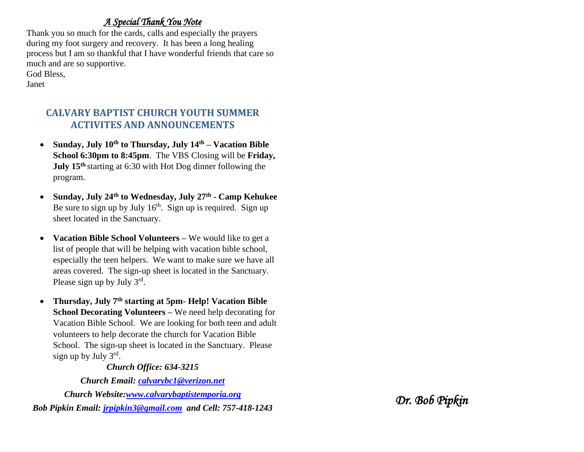## *A Special Thank You Note*

Thank you so much for the cards, calls and especially the prayers during my foot surgery and recovery. It has been a long healing process but I am so thankful that I have wonderful friends that care so much and are so supportive. God Bless,

Janet

## **CALVARY BAPTIST CHURCH YOUTH SUMMER ACTIVITES AND ANNOUNCEMENTS**

- **Sunday, July 10th to Thursday, July 14th – Vacation Bible School 6:30pm to 8:45pm**. The VBS Closing will be **Friday, July 15th** starting at 6:30 with Hot Dog dinner following the program.
- **Sunday, July 24th to Wednesday, July 27th - Camp Kehukee** Be sure to sign up by July  $16<sup>th</sup>$ . Sign up is required. Sign up sheet located in the Sanctuary.
- **Vacation Bible School Volunteers –** We would like to get a list of people that will be helping with vacation bible school, especially the teen helpers. We want to make sure we have all areas covered. The sign-up sheet is located in the Sanctuary. Please sign up by July  $3^{rd}$ .
- **Thursday, July 7th starting at 5pm- Help! Vacation Bible School Decorating Volunteers –** We need help decorating for Vacation Bible School. We are looking for both teen and adult volunteers to help decorate the church for Vacation Bible School. The sign-up sheet is located in the Sanctuary. Please sign up by July 3<sup>rd</sup>.

#### *Church Office: 634-3215*

*Church Email: [calvarybc1@verizon.net](mailto:cbcemporiaoffice@gmail.com)*

*Church Website[:www.calvarybaptistemporia.org](http://www.calvarybaptistemporia.org/) Bob Pipkin Email: [jrpipkin3@gmail.com](mailto:jrpipkin3@gmail.com) and Cell: 757-418-1243*

*Dr. Bob Pipkin*